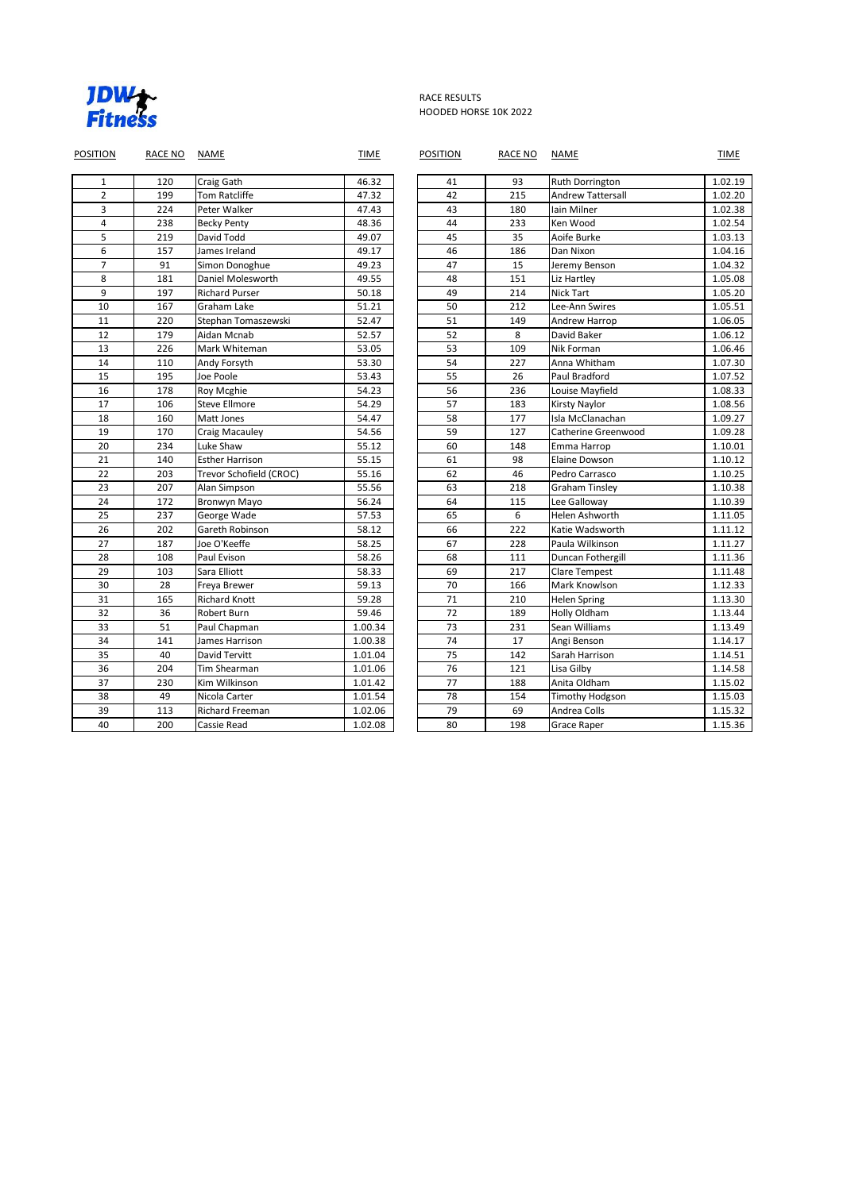

## RACE RESULTS HOODED HORSE 10K 2022

| ייטוויכטו      | טיו שהעו | 1471111L                | $11111 -$ |  |
|----------------|----------|-------------------------|-----------|--|
| 1              | 120      | Craig Gath              | 46.32     |  |
| $\overline{2}$ | 199      | <b>Tom Ratcliffe</b>    | 47.32     |  |
| 3              | 224      | Peter Walker            | 47.43     |  |
| 4              | 238      | <b>Becky Penty</b>      | 48.36     |  |
| 5              | 219      | David Todd              | 49.07     |  |
| 6              | 157      | James Ireland           | 49.17     |  |
| 7              | 91       | Simon Donoghue          | 49.23     |  |
| 8              | 181      | Daniel Molesworth       | 49.55     |  |
| 9              | 197      | <b>Richard Purser</b>   | 50.18     |  |
| 10             | 167      | Graham Lake             | 51.21     |  |
| 11             | 220      | Stephan Tomaszewski     | 52.47     |  |
| 12             | 179      | Aidan Mcnab             | 52.57     |  |
| 13             | 226      | Mark Whiteman           | 53.05     |  |
| 14             | 110      | Andy Forsyth            | 53.30     |  |
| 15             | 195      | Joe Poole               | 53.43     |  |
| 16             | 178      | Roy Mcghie              | 54.23     |  |
| 17             | 106      | <b>Steve Ellmore</b>    | 54.29     |  |
| 18             | 160      | Matt Jones              | 54.47     |  |
| 19             | 170      | Craig Macauley          | 54.56     |  |
| 20             | 234      | Luke Shaw               | 55.12     |  |
| 21             | 140      | <b>Esther Harrison</b>  | 55.15     |  |
| 22             | 203      | Trevor Schofield (CROC) | 55.16     |  |
| 23             | 207      | Alan Simpson            | 55.56     |  |
| 24             | 172      | <b>Bronwyn Mayo</b>     | 56.24     |  |
| 25             | 237      | George Wade             | 57.53     |  |
| 26             | 202      | Gareth Robinson         | 58.12     |  |
| 27             | 187      | Joe O'Keeffe            | 58.25     |  |
| 28             | 108      | Paul Evison             | 58.26     |  |
| 29             | 103      | Sara Elliott            | 58.33     |  |
| 30             | 28       | Freya Brewer            | 59.13     |  |
| 31             | 165      | <b>Richard Knott</b>    | 59.28     |  |
| 32             | 36       | Robert Burn             | 59.46     |  |
| 33             | 51       | Paul Chapman            | 1.00.34   |  |
| 34             | 141      | James Harrison          | 1.00.38   |  |
| 35             | 40       | David Tervitt           | 1.01.04   |  |
| 36             | 204      | Tim Shearman            | 1.01.06   |  |
| 37             | 230      | Kim Wilkinson           | 1.01.42   |  |
| 38             | 49       | Nicola Carter           | 1.01.54   |  |
| 39             | 113      | <b>Richard Freeman</b>  | 1.02.06   |  |
| 40             | 200      | Cassie Read             | 1.02.08   |  |
|                |          |                         |           |  |

| <b>Craig Gath</b><br>46.32<br>93<br>1.02.19<br>120<br>41<br>Ruth Dorrington<br>1<br>$\overline{2}$<br>199<br>42<br>215<br><b>Tom Ratcliffe</b><br>47.32<br><b>Andrew Tattersall</b><br>1.02.20<br>3<br>43<br>224<br>Peter Walker<br>180<br>1.02.38<br>47.43<br>lain Milner<br>44<br>1.02.54<br>4<br>238<br>48.36<br>233<br>Ken Wood<br><b>Becky Penty</b><br>5<br>45<br>219<br>David Todd<br>49.07<br>35<br>Aoife Burke<br>1.03.13<br>6<br>46<br>186<br>157<br>James Ireland<br>49.17<br>Dan Nixon<br>1.04.16<br>$\overline{7}$<br>47<br>91<br>15<br>49.23<br>1.04.32<br>Simon Donoghue<br>Jeremy Benson<br>8<br>181<br>49.55<br>48<br>151<br>1.05.08<br>Daniel Molesworth<br>Liz Hartley<br>9<br>197<br><b>Richard Purser</b><br>49<br>1.05.20<br>50.18<br>214<br>Nick Tart<br>10<br>167<br>50<br>212<br>Graham Lake<br>51.21<br>Lee-Ann Swires<br>1.05.51<br>51<br>11<br>149<br>1.06.05<br>220<br>Stephan Tomaszewski<br>52.47<br>Andrew Harrop<br>52<br>8<br>12<br>179<br>52.57<br>1.06.12<br>Aidan Mcnab<br>David Baker<br>13<br>226<br>Mark Whiteman<br>53<br>109<br>Nik Forman<br>1.06.46<br>53.05<br>54<br>14<br>110<br>53.30<br>227<br>Andy Forsyth<br>Anna Whitham<br>1.07.30<br>55<br>15<br>26<br>195<br>53.43<br>1.07.52<br>Joe Poole<br>Paul Bradford<br>56<br>16<br>178<br>54.23<br>236<br>1.08.33<br><b>Roy Mcghie</b><br>Louise Mayfield<br>17<br>106<br><b>Steve Ellmore</b><br>54.29<br>57<br>183<br><b>Kirsty Naylor</b><br>1.08.56<br>58<br>18<br>160<br>54.47<br>177<br>1.09.27<br>Matt Jones<br>Isla McClanachan<br>19<br>59<br>170<br>54.56<br>127<br>1.09.28<br>Catherine Greenwood<br>Craig Macauley<br>60<br>20<br>234<br>55.12<br>148<br>1.10.01<br>Luke Shaw<br>Emma Harrop<br>61<br>21<br>140<br><b>Esther Harrison</b><br>55.15<br>98<br><b>Elaine Dowson</b><br>1.10.12<br>62<br>22<br>203<br>46<br>Trevor Schofield (CROC)<br>55.16<br>1.10.25<br>Pedro Carrasco<br>23<br>63<br>207<br>55.56<br>218<br>1.10.38<br>Alan Simpson<br><b>Graham Tinsley</b><br>64<br>24<br>172<br>56.24<br>115<br>1.10.39<br>Lee Galloway<br><b>Bronwyn Mayo</b><br>25<br>65<br>237<br>George Wade<br>57.53<br>6<br><b>Helen Ashworth</b><br>1.11.05<br>66<br>26<br>202<br>58.12<br>222<br>Gareth Robinson<br>Katie Wadsworth<br>1.11.12<br>27<br>67<br>187<br>Joe O'Keeffe<br>58.25<br>228<br>1.11.27<br>Paula Wilkinson<br>68<br>28<br>108<br>Paul Evison<br>58.26<br>111<br>1.11.36<br>Duncan Fothergill<br>29<br>Sara Elliott<br>69<br>103<br>58.33<br>217<br><b>Clare Tempest</b><br>1.11.48<br>70<br>30<br>28<br>59.13<br>166<br>1.12.33<br>Mark Knowlson<br>Freya Brewer<br>71<br>31<br>165<br>59.28<br>210<br>1.13.30<br><b>Richard Knott</b><br><b>Helen Spring</b><br>32<br>36<br>59.46<br>72<br>189<br><b>Holly Oldham</b><br>1.13.44<br>Robert Burn<br>33<br>51<br>73<br>231<br>Paul Chapman<br>1.00.34<br>Sean Williams<br>1.13.49<br>34<br>74<br>17<br>141<br>1.00.38<br>1.14.17<br>James Harrison<br>Angi Benson<br>35<br>75<br>142<br>40<br>1.01.04<br>1.14.51<br>David Tervitt<br>Sarah Harrison<br>76<br>36<br>204<br>121<br>1.14.58<br>Tim Shearman<br>1.01.06<br>Lisa Gilby<br>37<br>77<br>188<br>Anita Oldham<br>230<br>Kim Wilkinson<br>1.01.42<br>1.15.02<br>38<br>49<br>78<br>1.01.54<br>154<br>1.15.03<br>Nicola Carter<br>Timothy Hodgson<br>39<br>113<br>1.02.06<br>79<br>69<br>Andrea Colls<br>1.15.32<br><b>Richard Freeman</b><br>80<br>40<br>200<br>198<br>1.15.36<br>1.02.08<br>Cassie Read<br><b>Grace Raper</b> | <b>POSITION</b> | RACE NO | NAME | <b>TIME</b> | <b>POSITION</b> | RACE NO | <b>NAME</b> | <b>TIME</b> |
|--------------------------------------------------------------------------------------------------------------------------------------------------------------------------------------------------------------------------------------------------------------------------------------------------------------------------------------------------------------------------------------------------------------------------------------------------------------------------------------------------------------------------------------------------------------------------------------------------------------------------------------------------------------------------------------------------------------------------------------------------------------------------------------------------------------------------------------------------------------------------------------------------------------------------------------------------------------------------------------------------------------------------------------------------------------------------------------------------------------------------------------------------------------------------------------------------------------------------------------------------------------------------------------------------------------------------------------------------------------------------------------------------------------------------------------------------------------------------------------------------------------------------------------------------------------------------------------------------------------------------------------------------------------------------------------------------------------------------------------------------------------------------------------------------------------------------------------------------------------------------------------------------------------------------------------------------------------------------------------------------------------------------------------------------------------------------------------------------------------------------------------------------------------------------------------------------------------------------------------------------------------------------------------------------------------------------------------------------------------------------------------------------------------------------------------------------------------------------------------------------------------------------------------------------------------------------------------------------------------------------------------------------------------------------------------------------------------------------------------------------------------------------------------------------------------------------------------------------------------------------------------------------------------------------------------------------------------------------------------------------------------------------------------------------------------------------------------------------------------------------------------------------------------------------------------------------------------------------------------------------------------------------------------------------------------------------------------------------------------------------------------------------------------------------------------------------------------|-----------------|---------|------|-------------|-----------------|---------|-------------|-------------|
|                                                                                                                                                                                                                                                                                                                                                                                                                                                                                                                                                                                                                                                                                                                                                                                                                                                                                                                                                                                                                                                                                                                                                                                                                                                                                                                                                                                                                                                                                                                                                                                                                                                                                                                                                                                                                                                                                                                                                                                                                                                                                                                                                                                                                                                                                                                                                                                                                                                                                                                                                                                                                                                                                                                                                                                                                                                                                                                                                                                                                                                                                                                                                                                                                                                                                                                                                                                                                                                              |                 |         |      |             |                 |         |             |             |
|                                                                                                                                                                                                                                                                                                                                                                                                                                                                                                                                                                                                                                                                                                                                                                                                                                                                                                                                                                                                                                                                                                                                                                                                                                                                                                                                                                                                                                                                                                                                                                                                                                                                                                                                                                                                                                                                                                                                                                                                                                                                                                                                                                                                                                                                                                                                                                                                                                                                                                                                                                                                                                                                                                                                                                                                                                                                                                                                                                                                                                                                                                                                                                                                                                                                                                                                                                                                                                                              |                 |         |      |             |                 |         |             |             |
|                                                                                                                                                                                                                                                                                                                                                                                                                                                                                                                                                                                                                                                                                                                                                                                                                                                                                                                                                                                                                                                                                                                                                                                                                                                                                                                                                                                                                                                                                                                                                                                                                                                                                                                                                                                                                                                                                                                                                                                                                                                                                                                                                                                                                                                                                                                                                                                                                                                                                                                                                                                                                                                                                                                                                                                                                                                                                                                                                                                                                                                                                                                                                                                                                                                                                                                                                                                                                                                              |                 |         |      |             |                 |         |             |             |
|                                                                                                                                                                                                                                                                                                                                                                                                                                                                                                                                                                                                                                                                                                                                                                                                                                                                                                                                                                                                                                                                                                                                                                                                                                                                                                                                                                                                                                                                                                                                                                                                                                                                                                                                                                                                                                                                                                                                                                                                                                                                                                                                                                                                                                                                                                                                                                                                                                                                                                                                                                                                                                                                                                                                                                                                                                                                                                                                                                                                                                                                                                                                                                                                                                                                                                                                                                                                                                                              |                 |         |      |             |                 |         |             |             |
|                                                                                                                                                                                                                                                                                                                                                                                                                                                                                                                                                                                                                                                                                                                                                                                                                                                                                                                                                                                                                                                                                                                                                                                                                                                                                                                                                                                                                                                                                                                                                                                                                                                                                                                                                                                                                                                                                                                                                                                                                                                                                                                                                                                                                                                                                                                                                                                                                                                                                                                                                                                                                                                                                                                                                                                                                                                                                                                                                                                                                                                                                                                                                                                                                                                                                                                                                                                                                                                              |                 |         |      |             |                 |         |             |             |
|                                                                                                                                                                                                                                                                                                                                                                                                                                                                                                                                                                                                                                                                                                                                                                                                                                                                                                                                                                                                                                                                                                                                                                                                                                                                                                                                                                                                                                                                                                                                                                                                                                                                                                                                                                                                                                                                                                                                                                                                                                                                                                                                                                                                                                                                                                                                                                                                                                                                                                                                                                                                                                                                                                                                                                                                                                                                                                                                                                                                                                                                                                                                                                                                                                                                                                                                                                                                                                                              |                 |         |      |             |                 |         |             |             |
|                                                                                                                                                                                                                                                                                                                                                                                                                                                                                                                                                                                                                                                                                                                                                                                                                                                                                                                                                                                                                                                                                                                                                                                                                                                                                                                                                                                                                                                                                                                                                                                                                                                                                                                                                                                                                                                                                                                                                                                                                                                                                                                                                                                                                                                                                                                                                                                                                                                                                                                                                                                                                                                                                                                                                                                                                                                                                                                                                                                                                                                                                                                                                                                                                                                                                                                                                                                                                                                              |                 |         |      |             |                 |         |             |             |
|                                                                                                                                                                                                                                                                                                                                                                                                                                                                                                                                                                                                                                                                                                                                                                                                                                                                                                                                                                                                                                                                                                                                                                                                                                                                                                                                                                                                                                                                                                                                                                                                                                                                                                                                                                                                                                                                                                                                                                                                                                                                                                                                                                                                                                                                                                                                                                                                                                                                                                                                                                                                                                                                                                                                                                                                                                                                                                                                                                                                                                                                                                                                                                                                                                                                                                                                                                                                                                                              |                 |         |      |             |                 |         |             |             |
|                                                                                                                                                                                                                                                                                                                                                                                                                                                                                                                                                                                                                                                                                                                                                                                                                                                                                                                                                                                                                                                                                                                                                                                                                                                                                                                                                                                                                                                                                                                                                                                                                                                                                                                                                                                                                                                                                                                                                                                                                                                                                                                                                                                                                                                                                                                                                                                                                                                                                                                                                                                                                                                                                                                                                                                                                                                                                                                                                                                                                                                                                                                                                                                                                                                                                                                                                                                                                                                              |                 |         |      |             |                 |         |             |             |
|                                                                                                                                                                                                                                                                                                                                                                                                                                                                                                                                                                                                                                                                                                                                                                                                                                                                                                                                                                                                                                                                                                                                                                                                                                                                                                                                                                                                                                                                                                                                                                                                                                                                                                                                                                                                                                                                                                                                                                                                                                                                                                                                                                                                                                                                                                                                                                                                                                                                                                                                                                                                                                                                                                                                                                                                                                                                                                                                                                                                                                                                                                                                                                                                                                                                                                                                                                                                                                                              |                 |         |      |             |                 |         |             |             |
|                                                                                                                                                                                                                                                                                                                                                                                                                                                                                                                                                                                                                                                                                                                                                                                                                                                                                                                                                                                                                                                                                                                                                                                                                                                                                                                                                                                                                                                                                                                                                                                                                                                                                                                                                                                                                                                                                                                                                                                                                                                                                                                                                                                                                                                                                                                                                                                                                                                                                                                                                                                                                                                                                                                                                                                                                                                                                                                                                                                                                                                                                                                                                                                                                                                                                                                                                                                                                                                              |                 |         |      |             |                 |         |             |             |
|                                                                                                                                                                                                                                                                                                                                                                                                                                                                                                                                                                                                                                                                                                                                                                                                                                                                                                                                                                                                                                                                                                                                                                                                                                                                                                                                                                                                                                                                                                                                                                                                                                                                                                                                                                                                                                                                                                                                                                                                                                                                                                                                                                                                                                                                                                                                                                                                                                                                                                                                                                                                                                                                                                                                                                                                                                                                                                                                                                                                                                                                                                                                                                                                                                                                                                                                                                                                                                                              |                 |         |      |             |                 |         |             |             |
|                                                                                                                                                                                                                                                                                                                                                                                                                                                                                                                                                                                                                                                                                                                                                                                                                                                                                                                                                                                                                                                                                                                                                                                                                                                                                                                                                                                                                                                                                                                                                                                                                                                                                                                                                                                                                                                                                                                                                                                                                                                                                                                                                                                                                                                                                                                                                                                                                                                                                                                                                                                                                                                                                                                                                                                                                                                                                                                                                                                                                                                                                                                                                                                                                                                                                                                                                                                                                                                              |                 |         |      |             |                 |         |             |             |
|                                                                                                                                                                                                                                                                                                                                                                                                                                                                                                                                                                                                                                                                                                                                                                                                                                                                                                                                                                                                                                                                                                                                                                                                                                                                                                                                                                                                                                                                                                                                                                                                                                                                                                                                                                                                                                                                                                                                                                                                                                                                                                                                                                                                                                                                                                                                                                                                                                                                                                                                                                                                                                                                                                                                                                                                                                                                                                                                                                                                                                                                                                                                                                                                                                                                                                                                                                                                                                                              |                 |         |      |             |                 |         |             |             |
|                                                                                                                                                                                                                                                                                                                                                                                                                                                                                                                                                                                                                                                                                                                                                                                                                                                                                                                                                                                                                                                                                                                                                                                                                                                                                                                                                                                                                                                                                                                                                                                                                                                                                                                                                                                                                                                                                                                                                                                                                                                                                                                                                                                                                                                                                                                                                                                                                                                                                                                                                                                                                                                                                                                                                                                                                                                                                                                                                                                                                                                                                                                                                                                                                                                                                                                                                                                                                                                              |                 |         |      |             |                 |         |             |             |
|                                                                                                                                                                                                                                                                                                                                                                                                                                                                                                                                                                                                                                                                                                                                                                                                                                                                                                                                                                                                                                                                                                                                                                                                                                                                                                                                                                                                                                                                                                                                                                                                                                                                                                                                                                                                                                                                                                                                                                                                                                                                                                                                                                                                                                                                                                                                                                                                                                                                                                                                                                                                                                                                                                                                                                                                                                                                                                                                                                                                                                                                                                                                                                                                                                                                                                                                                                                                                                                              |                 |         |      |             |                 |         |             |             |
|                                                                                                                                                                                                                                                                                                                                                                                                                                                                                                                                                                                                                                                                                                                                                                                                                                                                                                                                                                                                                                                                                                                                                                                                                                                                                                                                                                                                                                                                                                                                                                                                                                                                                                                                                                                                                                                                                                                                                                                                                                                                                                                                                                                                                                                                                                                                                                                                                                                                                                                                                                                                                                                                                                                                                                                                                                                                                                                                                                                                                                                                                                                                                                                                                                                                                                                                                                                                                                                              |                 |         |      |             |                 |         |             |             |
|                                                                                                                                                                                                                                                                                                                                                                                                                                                                                                                                                                                                                                                                                                                                                                                                                                                                                                                                                                                                                                                                                                                                                                                                                                                                                                                                                                                                                                                                                                                                                                                                                                                                                                                                                                                                                                                                                                                                                                                                                                                                                                                                                                                                                                                                                                                                                                                                                                                                                                                                                                                                                                                                                                                                                                                                                                                                                                                                                                                                                                                                                                                                                                                                                                                                                                                                                                                                                                                              |                 |         |      |             |                 |         |             |             |
|                                                                                                                                                                                                                                                                                                                                                                                                                                                                                                                                                                                                                                                                                                                                                                                                                                                                                                                                                                                                                                                                                                                                                                                                                                                                                                                                                                                                                                                                                                                                                                                                                                                                                                                                                                                                                                                                                                                                                                                                                                                                                                                                                                                                                                                                                                                                                                                                                                                                                                                                                                                                                                                                                                                                                                                                                                                                                                                                                                                                                                                                                                                                                                                                                                                                                                                                                                                                                                                              |                 |         |      |             |                 |         |             |             |
|                                                                                                                                                                                                                                                                                                                                                                                                                                                                                                                                                                                                                                                                                                                                                                                                                                                                                                                                                                                                                                                                                                                                                                                                                                                                                                                                                                                                                                                                                                                                                                                                                                                                                                                                                                                                                                                                                                                                                                                                                                                                                                                                                                                                                                                                                                                                                                                                                                                                                                                                                                                                                                                                                                                                                                                                                                                                                                                                                                                                                                                                                                                                                                                                                                                                                                                                                                                                                                                              |                 |         |      |             |                 |         |             |             |
|                                                                                                                                                                                                                                                                                                                                                                                                                                                                                                                                                                                                                                                                                                                                                                                                                                                                                                                                                                                                                                                                                                                                                                                                                                                                                                                                                                                                                                                                                                                                                                                                                                                                                                                                                                                                                                                                                                                                                                                                                                                                                                                                                                                                                                                                                                                                                                                                                                                                                                                                                                                                                                                                                                                                                                                                                                                                                                                                                                                                                                                                                                                                                                                                                                                                                                                                                                                                                                                              |                 |         |      |             |                 |         |             |             |
|                                                                                                                                                                                                                                                                                                                                                                                                                                                                                                                                                                                                                                                                                                                                                                                                                                                                                                                                                                                                                                                                                                                                                                                                                                                                                                                                                                                                                                                                                                                                                                                                                                                                                                                                                                                                                                                                                                                                                                                                                                                                                                                                                                                                                                                                                                                                                                                                                                                                                                                                                                                                                                                                                                                                                                                                                                                                                                                                                                                                                                                                                                                                                                                                                                                                                                                                                                                                                                                              |                 |         |      |             |                 |         |             |             |
|                                                                                                                                                                                                                                                                                                                                                                                                                                                                                                                                                                                                                                                                                                                                                                                                                                                                                                                                                                                                                                                                                                                                                                                                                                                                                                                                                                                                                                                                                                                                                                                                                                                                                                                                                                                                                                                                                                                                                                                                                                                                                                                                                                                                                                                                                                                                                                                                                                                                                                                                                                                                                                                                                                                                                                                                                                                                                                                                                                                                                                                                                                                                                                                                                                                                                                                                                                                                                                                              |                 |         |      |             |                 |         |             |             |
|                                                                                                                                                                                                                                                                                                                                                                                                                                                                                                                                                                                                                                                                                                                                                                                                                                                                                                                                                                                                                                                                                                                                                                                                                                                                                                                                                                                                                                                                                                                                                                                                                                                                                                                                                                                                                                                                                                                                                                                                                                                                                                                                                                                                                                                                                                                                                                                                                                                                                                                                                                                                                                                                                                                                                                                                                                                                                                                                                                                                                                                                                                                                                                                                                                                                                                                                                                                                                                                              |                 |         |      |             |                 |         |             |             |
|                                                                                                                                                                                                                                                                                                                                                                                                                                                                                                                                                                                                                                                                                                                                                                                                                                                                                                                                                                                                                                                                                                                                                                                                                                                                                                                                                                                                                                                                                                                                                                                                                                                                                                                                                                                                                                                                                                                                                                                                                                                                                                                                                                                                                                                                                                                                                                                                                                                                                                                                                                                                                                                                                                                                                                                                                                                                                                                                                                                                                                                                                                                                                                                                                                                                                                                                                                                                                                                              |                 |         |      |             |                 |         |             |             |
|                                                                                                                                                                                                                                                                                                                                                                                                                                                                                                                                                                                                                                                                                                                                                                                                                                                                                                                                                                                                                                                                                                                                                                                                                                                                                                                                                                                                                                                                                                                                                                                                                                                                                                                                                                                                                                                                                                                                                                                                                                                                                                                                                                                                                                                                                                                                                                                                                                                                                                                                                                                                                                                                                                                                                                                                                                                                                                                                                                                                                                                                                                                                                                                                                                                                                                                                                                                                                                                              |                 |         |      |             |                 |         |             |             |
|                                                                                                                                                                                                                                                                                                                                                                                                                                                                                                                                                                                                                                                                                                                                                                                                                                                                                                                                                                                                                                                                                                                                                                                                                                                                                                                                                                                                                                                                                                                                                                                                                                                                                                                                                                                                                                                                                                                                                                                                                                                                                                                                                                                                                                                                                                                                                                                                                                                                                                                                                                                                                                                                                                                                                                                                                                                                                                                                                                                                                                                                                                                                                                                                                                                                                                                                                                                                                                                              |                 |         |      |             |                 |         |             |             |
|                                                                                                                                                                                                                                                                                                                                                                                                                                                                                                                                                                                                                                                                                                                                                                                                                                                                                                                                                                                                                                                                                                                                                                                                                                                                                                                                                                                                                                                                                                                                                                                                                                                                                                                                                                                                                                                                                                                                                                                                                                                                                                                                                                                                                                                                                                                                                                                                                                                                                                                                                                                                                                                                                                                                                                                                                                                                                                                                                                                                                                                                                                                                                                                                                                                                                                                                                                                                                                                              |                 |         |      |             |                 |         |             |             |
|                                                                                                                                                                                                                                                                                                                                                                                                                                                                                                                                                                                                                                                                                                                                                                                                                                                                                                                                                                                                                                                                                                                                                                                                                                                                                                                                                                                                                                                                                                                                                                                                                                                                                                                                                                                                                                                                                                                                                                                                                                                                                                                                                                                                                                                                                                                                                                                                                                                                                                                                                                                                                                                                                                                                                                                                                                                                                                                                                                                                                                                                                                                                                                                                                                                                                                                                                                                                                                                              |                 |         |      |             |                 |         |             |             |
|                                                                                                                                                                                                                                                                                                                                                                                                                                                                                                                                                                                                                                                                                                                                                                                                                                                                                                                                                                                                                                                                                                                                                                                                                                                                                                                                                                                                                                                                                                                                                                                                                                                                                                                                                                                                                                                                                                                                                                                                                                                                                                                                                                                                                                                                                                                                                                                                                                                                                                                                                                                                                                                                                                                                                                                                                                                                                                                                                                                                                                                                                                                                                                                                                                                                                                                                                                                                                                                              |                 |         |      |             |                 |         |             |             |
|                                                                                                                                                                                                                                                                                                                                                                                                                                                                                                                                                                                                                                                                                                                                                                                                                                                                                                                                                                                                                                                                                                                                                                                                                                                                                                                                                                                                                                                                                                                                                                                                                                                                                                                                                                                                                                                                                                                                                                                                                                                                                                                                                                                                                                                                                                                                                                                                                                                                                                                                                                                                                                                                                                                                                                                                                                                                                                                                                                                                                                                                                                                                                                                                                                                                                                                                                                                                                                                              |                 |         |      |             |                 |         |             |             |
|                                                                                                                                                                                                                                                                                                                                                                                                                                                                                                                                                                                                                                                                                                                                                                                                                                                                                                                                                                                                                                                                                                                                                                                                                                                                                                                                                                                                                                                                                                                                                                                                                                                                                                                                                                                                                                                                                                                                                                                                                                                                                                                                                                                                                                                                                                                                                                                                                                                                                                                                                                                                                                                                                                                                                                                                                                                                                                                                                                                                                                                                                                                                                                                                                                                                                                                                                                                                                                                              |                 |         |      |             |                 |         |             |             |
|                                                                                                                                                                                                                                                                                                                                                                                                                                                                                                                                                                                                                                                                                                                                                                                                                                                                                                                                                                                                                                                                                                                                                                                                                                                                                                                                                                                                                                                                                                                                                                                                                                                                                                                                                                                                                                                                                                                                                                                                                                                                                                                                                                                                                                                                                                                                                                                                                                                                                                                                                                                                                                                                                                                                                                                                                                                                                                                                                                                                                                                                                                                                                                                                                                                                                                                                                                                                                                                              |                 |         |      |             |                 |         |             |             |
|                                                                                                                                                                                                                                                                                                                                                                                                                                                                                                                                                                                                                                                                                                                                                                                                                                                                                                                                                                                                                                                                                                                                                                                                                                                                                                                                                                                                                                                                                                                                                                                                                                                                                                                                                                                                                                                                                                                                                                                                                                                                                                                                                                                                                                                                                                                                                                                                                                                                                                                                                                                                                                                                                                                                                                                                                                                                                                                                                                                                                                                                                                                                                                                                                                                                                                                                                                                                                                                              |                 |         |      |             |                 |         |             |             |
|                                                                                                                                                                                                                                                                                                                                                                                                                                                                                                                                                                                                                                                                                                                                                                                                                                                                                                                                                                                                                                                                                                                                                                                                                                                                                                                                                                                                                                                                                                                                                                                                                                                                                                                                                                                                                                                                                                                                                                                                                                                                                                                                                                                                                                                                                                                                                                                                                                                                                                                                                                                                                                                                                                                                                                                                                                                                                                                                                                                                                                                                                                                                                                                                                                                                                                                                                                                                                                                              |                 |         |      |             |                 |         |             |             |
|                                                                                                                                                                                                                                                                                                                                                                                                                                                                                                                                                                                                                                                                                                                                                                                                                                                                                                                                                                                                                                                                                                                                                                                                                                                                                                                                                                                                                                                                                                                                                                                                                                                                                                                                                                                                                                                                                                                                                                                                                                                                                                                                                                                                                                                                                                                                                                                                                                                                                                                                                                                                                                                                                                                                                                                                                                                                                                                                                                                                                                                                                                                                                                                                                                                                                                                                                                                                                                                              |                 |         |      |             |                 |         |             |             |
|                                                                                                                                                                                                                                                                                                                                                                                                                                                                                                                                                                                                                                                                                                                                                                                                                                                                                                                                                                                                                                                                                                                                                                                                                                                                                                                                                                                                                                                                                                                                                                                                                                                                                                                                                                                                                                                                                                                                                                                                                                                                                                                                                                                                                                                                                                                                                                                                                                                                                                                                                                                                                                                                                                                                                                                                                                                                                                                                                                                                                                                                                                                                                                                                                                                                                                                                                                                                                                                              |                 |         |      |             |                 |         |             |             |
|                                                                                                                                                                                                                                                                                                                                                                                                                                                                                                                                                                                                                                                                                                                                                                                                                                                                                                                                                                                                                                                                                                                                                                                                                                                                                                                                                                                                                                                                                                                                                                                                                                                                                                                                                                                                                                                                                                                                                                                                                                                                                                                                                                                                                                                                                                                                                                                                                                                                                                                                                                                                                                                                                                                                                                                                                                                                                                                                                                                                                                                                                                                                                                                                                                                                                                                                                                                                                                                              |                 |         |      |             |                 |         |             |             |
|                                                                                                                                                                                                                                                                                                                                                                                                                                                                                                                                                                                                                                                                                                                                                                                                                                                                                                                                                                                                                                                                                                                                                                                                                                                                                                                                                                                                                                                                                                                                                                                                                                                                                                                                                                                                                                                                                                                                                                                                                                                                                                                                                                                                                                                                                                                                                                                                                                                                                                                                                                                                                                                                                                                                                                                                                                                                                                                                                                                                                                                                                                                                                                                                                                                                                                                                                                                                                                                              |                 |         |      |             |                 |         |             |             |
|                                                                                                                                                                                                                                                                                                                                                                                                                                                                                                                                                                                                                                                                                                                                                                                                                                                                                                                                                                                                                                                                                                                                                                                                                                                                                                                                                                                                                                                                                                                                                                                                                                                                                                                                                                                                                                                                                                                                                                                                                                                                                                                                                                                                                                                                                                                                                                                                                                                                                                                                                                                                                                                                                                                                                                                                                                                                                                                                                                                                                                                                                                                                                                                                                                                                                                                                                                                                                                                              |                 |         |      |             |                 |         |             |             |